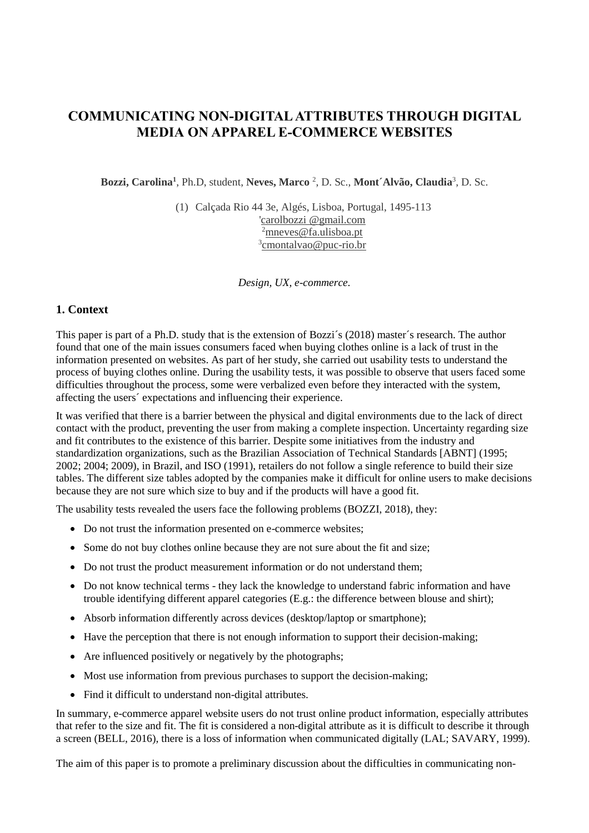# **COMMUNICATING NON-DIGITALATTRIBUTES THROUGH DIGITAL MEDIA ON APPAREL E-COMMERCE WEBSITES**

**Bozzi, Carolina<sup>1</sup>** , Ph.D, student, **Neves, Marco** <sup>2</sup> , D. Sc., **Mont´Alvão, Claudia**<sup>3</sup> , D. Sc.

(1) Calçada Rio 44 3e, Algés, Lisboa, Portugal, 1495-113 'carolbozzi @gmail.com <sup>2</sup>mneves@fa.ulisboa.pt <sup>3</sup>cmontalvao@puc-rio.br

*Design, UX, e-commerce.*

## **1. Context**

This paper is part of a Ph.D. study that is the extension of Bozzi´s (2018) master´s research. The author found that one of the main issues consumers faced when buying clothes online is a lack of trust in the information presented on websites. As part of her study, she carried out usability tests to understand the process of buying clothes online. During the usability tests, it was possible to observe that users faced some difficulties throughout the process, some were verbalized even before they interacted with the system, affecting the users´ expectations and influencing their experience.

It was verified that there is a barrier between the physical and digital environments due to the lack of direct contact with the product, preventing the user from making a complete inspection. Uncertainty regarding size and fit contributes to the existence of this barrier. Despite some initiatives from the industry and standardization organizations, such as the Brazilian Association of Technical Standards [ABNT] (1995; 2002; 2004; 2009), in Brazil, and ISO (1991), retailers do not follow a single reference to build their size tables. The different size tables adopted by the companies make it difficult for online users to make decisions because they are not sure which size to buy and if the products will have a good fit.

The usability tests revealed the users face the following problems (BOZZI, 2018), they:

- Do not trust the information presented on e-commerce websites;
- Some do not buy clothes online because they are not sure about the fit and size;
- Do not trust the product measurement information or do not understand them;
- Do not know technical terms they lack the knowledge to understand fabric information and have trouble identifying different apparel categories (E.g.: the difference between blouse and shirt);
- Absorb information differently across devices (desktop/laptop or smartphone);
- Have the perception that there is not enough information to support their decision-making;
- Are influenced positively or negatively by the photographs;
- Most use information from previous purchases to support the decision-making;
- Find it difficult to understand non-digital attributes.

In summary, e-commerce apparel website users do not trust online product information, especially attributes that refer to the size and fit. The fit is considered a non-digital attribute as it is difficult to describe it through a screen (BELL, 2016), there is a loss of information when communicated digitally (LAL; SAVARY, 1999).

The aim of this paper is to promote a preliminary discussion about the difficulties in communicating non-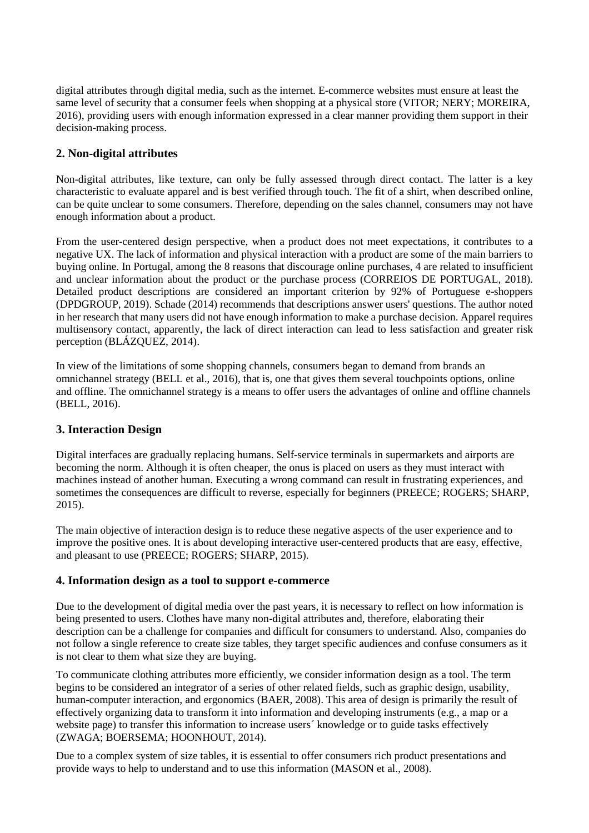digital attributes through digital media, such as the internet. E-commerce websites must ensure at least the same level of security that a consumer feels when shopping at a physical store (VITOR; NERY; MOREIRA, 2016), providing users with enough information expressed in a clear manner providing them support in their decision-making process.

## **2. Non-digital attributes**

Non-digital attributes, like texture, can only be fully assessed through direct contact. The latter is a key characteristic to evaluate apparel and is best verified through touch. The fit of a shirt, when described online, can be quite unclear to some consumers. Therefore, depending on the sales channel, consumers may not have enough information about a product.

From the user-centered design perspective, when a product does not meet expectations, it contributes to a negative UX. The lack of information and physical interaction with a product are some of the main barriers to buying online. In Portugal, among the 8 reasons that discourage online purchases, 4 are related to insufficient and unclear information about the product or the purchase process (CORREIOS DE PORTUGAL, 2018). Detailed product descriptions are considered an important criterion by 92% of Portuguese e-shoppers (DPDGROUP, 2019). Schade (2014) recommends that descriptions answer users' questions. The author noted in her research that many users did not have enough information to make a purchase decision. Apparel requires multisensory contact, apparently, the lack of direct interaction can lead to less satisfaction and greater risk perception (BLÁZQUEZ, 2014).

In view of the limitations of some shopping channels, consumers began to demand from brands an omnichannel strategy (BELL et al., 2016), that is, one that gives them several touchpoints options, online and offline. The omnichannel strategy is a means to offer users the advantages of online and offline channels (BELL, 2016).

## **3. Interaction Design**

Digital interfaces are gradually replacing humans. Self-service terminals in supermarkets and airports are becoming the norm. Although it is often cheaper, the onus is placed on users as they must interact with machines instead of another human. Executing a wrong command can result in frustrating experiences, and sometimes the consequences are difficult to reverse, especially for beginners (PREECE; ROGERS; SHARP, 2015).

The main objective of interaction design is to reduce these negative aspects of the user experience and to improve the positive ones. It is about developing interactive user-centered products that are easy, effective, and pleasant to use (PREECE; ROGERS; SHARP, 2015).

## **4. Information design as a tool to support e-commerce**

Due to the development of digital media over the past years, it is necessary to reflect on how information is being presented to users. Clothes have many non-digital attributes and, therefore, elaborating their description can be a challenge for companies and difficult for consumers to understand. Also, companies do not follow a single reference to create size tables, they target specific audiences and confuse consumers as it is not clear to them what size they are buying.

To communicate clothing attributes more efficiently, we consider information design as a tool. The term begins to be considered an integrator of a series of other related fields, such as graphic design, usability, human-computer interaction, and ergonomics (BAER, 2008). This area of design is primarily the result of effectively organizing data to transform it into information and developing instruments (e.g., a map or a website page) to transfer this information to increase users´ knowledge or to guide tasks effectively (ZWAGA; BOERSEMA; HOONHOUT, 2014).

Due to a complex system of size tables, it is essential to offer consumers rich product presentations and provide ways to help to understand and to use this information (MASON et al., 2008).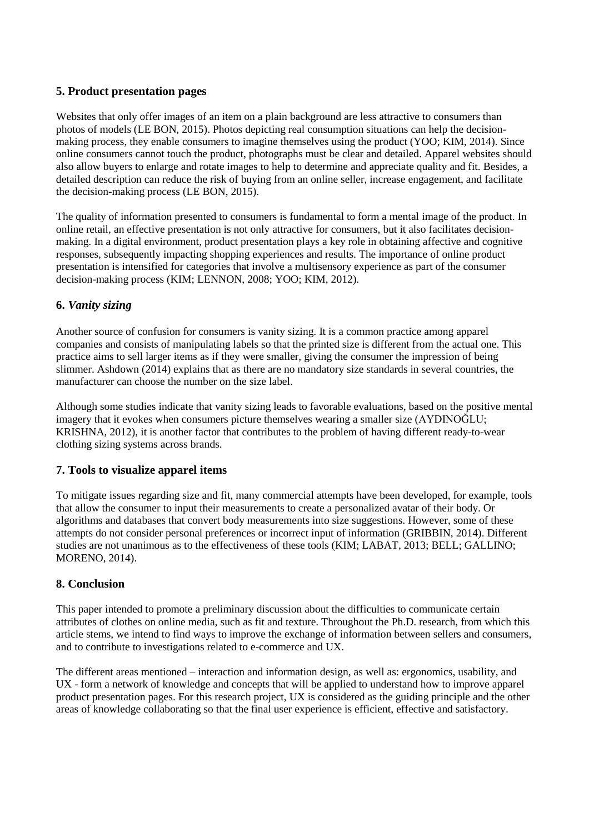## **5. Product presentation pages**

Websites that only offer images of an item on a plain background are less attractive to consumers than photos of models (LE BON, 2015). Photos depicting real consumption situations can help the decisionmaking process, they enable consumers to imagine themselves using the product (YOO; KIM, 2014). Since online consumers cannot touch the product, photographs must be clear and detailed. Apparel websites should also allow buyers to enlarge and rotate images to help to determine and appreciate quality and fit. Besides, a detailed description can reduce the risk of buying from an online seller, increase engagement, and facilitate the decision-making process (LE BON, 2015).

The quality of information presented to consumers is fundamental to form a mental image of the product. In online retail, an effective presentation is not only attractive for consumers, but it also facilitates decisionmaking. In a digital environment, product presentation plays a key role in obtaining affective and cognitive responses, subsequently impacting shopping experiences and results. The importance of online product presentation is intensified for categories that involve a multisensory experience as part of the consumer decision-making process (KIM; LENNON, 2008; YOO; KIM, 2012).

## **6.** *Vanity sizing*

Another source of confusion for consumers is vanity sizing. It is a common practice among apparel companies and consists of manipulating labels so that the printed size is different from the actual one. This practice aims to sell larger items as if they were smaller, giving the consumer the impression of being slimmer. Ashdown (2014) explains that as there are no mandatory size standards in several countries, the manufacturer can choose the number on the size label.

Although some studies indicate that vanity sizing leads to favorable evaluations, based on the positive mental imagery that it evokes when consumers picture themselves wearing a smaller size (AYDINOĞLU; KRISHNA, 2012), it is another factor that contributes to the problem of having different ready-to-wear clothing sizing systems across brands.

## **7. Tools to visualize apparel items**

To mitigate issues regarding size and fit, many commercial attempts have been developed, for example, tools that allow the consumer to input their measurements to create a personalized avatar of their body. Or algorithms and databases that convert body measurements into size suggestions. However, some of these attempts do not consider personal preferences or incorrect input of information (GRIBBIN, 2014). Different studies are not unanimous as to the effectiveness of these tools (KIM; LABAT, 2013; BELL; GALLINO; MORENO, 2014).

## **8. Conclusion**

This paper intended to promote a preliminary discussion about the difficulties to communicate certain attributes of clothes on online media, such as fit and texture. Throughout the Ph.D. research, from which this article stems, we intend to find ways to improve the exchange of information between sellers and consumers, and to contribute to investigations related to e-commerce and UX.

The different areas mentioned – interaction and information design, as well as: ergonomics, usability, and UX - form a network of knowledge and concepts that will be applied to understand how to improve apparel product presentation pages. For this research project, UX is considered as the guiding principle and the other areas of knowledge collaborating so that the final user experience is efficient, effective and satisfactory.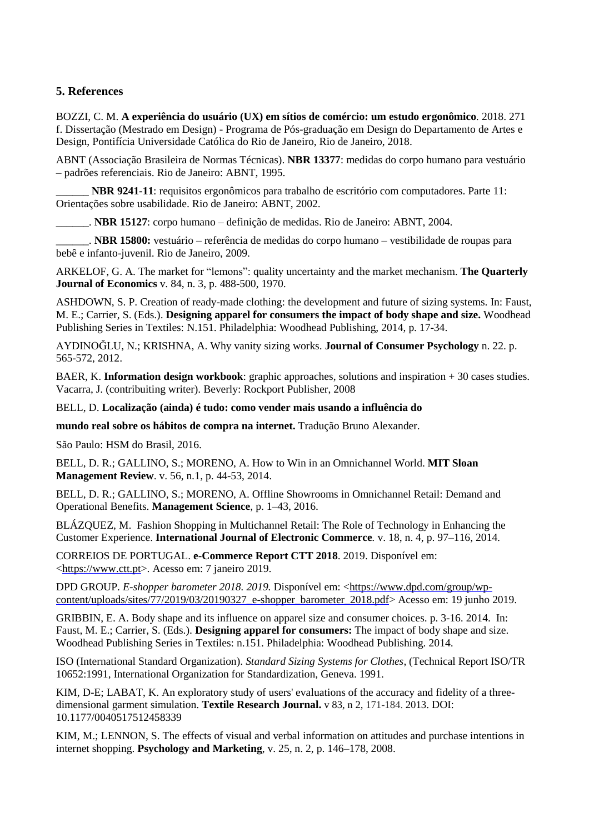## **5. References**

BOZZI, C. M. **A experiência do usuário (UX) em sítios de comércio: um estudo ergonômico***.* 2018. 271 f. Dissertação (Mestrado em Design) - Programa de Pós-graduação em Design do Departamento de Artes e Design, Pontifícia Universidade Católica do Rio de Janeiro, Rio de Janeiro, 2018.

ABNT (Associação Brasileira de Normas Técnicas). **NBR 13377**: medidas do corpo humano para vestuário – padrões referenciais. Rio de Janeiro: ABNT, 1995.

\_\_\_\_\_\_ **NBR 9241-11**: requisitos ergonômicos para trabalho de escritório com computadores. Parte 11: Orientações sobre usabilidade. Rio de Janeiro: ABNT, 2002.

\_\_\_\_\_\_. **NBR 15127**: corpo humano – definição de medidas. Rio de Janeiro: ABNT, 2004.

\_\_\_\_\_\_. **NBR 15800:** vestuário – referência de medidas do corpo humano – vestibilidade de roupas para bebê e infanto-juvenil. Rio de Janeiro, 2009.

ARKELOF, G. A. The market for "lemons": quality uncertainty and the market mechanism. **The Quarterly Journal of Economics** v. 84, n. 3, p. 488-500, 1970.

ASHDOWN, S. P. Creation of ready-made clothing: the development and future of sizing systems. In: Faust, M. E.; Carrier, S. (Eds.). **Designing apparel for consumers the impact of body shape and size.** Woodhead Publishing Series in Textiles: N.151. Philadelphia: Woodhead Publishing, 2014, p. 17-34.

AYDINOĞLU, N.; KRISHNA, A. Why vanity sizing works. **Journal of Consumer Psychology** n. 22. p. 565-572, 2012.

BAER, K. **Information design workbook**: graphic approaches, solutions and inspiration + 30 cases studies. Vacarra, J. (contribuiting writer). Beverly: Rockport Publisher, 2008

BELL, D. **Localização (ainda) é tudo: como vender mais usando a influência do**

**mundo real sobre os hábitos de compra na internet.** Tradução Bruno Alexander.

São Paulo: HSM do Brasil, 2016.

BELL, D. R.; GALLINO, S.; MORENO, A. How to Win in an Omnichannel World. **MIT Sloan Management Review**. v. 56, n*.*1, p. 44-53, 2014.

BELL, D. R.; GALLINO, S.; MORENO, A. Offline Showrooms in Omnichannel Retail: Demand and Operational Benefits. **Management Science**, p. 1–43, 2016.

BLÁZQUEZ, M. Fashion Shopping in Multichannel Retail: The Role of Technology in Enhancing the Customer Experience. **International Journal of Electronic Commerce***.* v. 18, n. 4, p. 97–116, 2014.

CORREIOS DE PORTUGAL. **e-Commerce Report CTT 2018**. 2019. Disponível em: [<https://www.ctt.pt>](https://www.ctt.pt/). Acesso em: 7 janeiro 2019.

DPD GROUP. *E-shopper barometer 2018. 2019.* Disponível em: [<https://www.dpd.com/group/wp](https://www.dpd.com/group/wp-content/uploads/sites/77/2019/03/20190327_e-shopper_barometer_2018.pdf)[content/uploads/sites/77/2019/03/20190327\\_e-shopper\\_barometer\\_2018.pdf>](https://www.dpd.com/group/wp-content/uploads/sites/77/2019/03/20190327_e-shopper_barometer_2018.pdf) Acesso em: 19 junho 2019.

GRIBBIN, E. A. Body shape and its influence on apparel size and consumer choices. p. 3-16. 2014. In: Faust, M. E.; Carrier, S. (Eds.). **Designing apparel for consumers:** The impact of body shape and size. Woodhead Publishing Series in Textiles: n.151. Philadelphia: Woodhead Publishing. 2014.

ISO (International Standard Organization). *Standard Sizing Systems for Clothes*, (Technical Report ISO/TR 10652:1991, International Organization for Standardization, Geneva. 1991.

KIM, D-E; LABAT, K. An exploratory study of users' evaluations of the accuracy and fidelity of a threedimensional garment simulation. **Textile Research Journal.** v 83, n 2, [171-184.](https://journals.sagepub.com/toc/trjc/83/2) 2013. DOI: 10.1177/0040517512458339

KIM, M.; LENNON, S. The effects of visual and verbal information on attitudes and purchase intentions in internet shopping. **Psychology and Marketing**, v. 25, n. 2, p. 146–178, 2008.